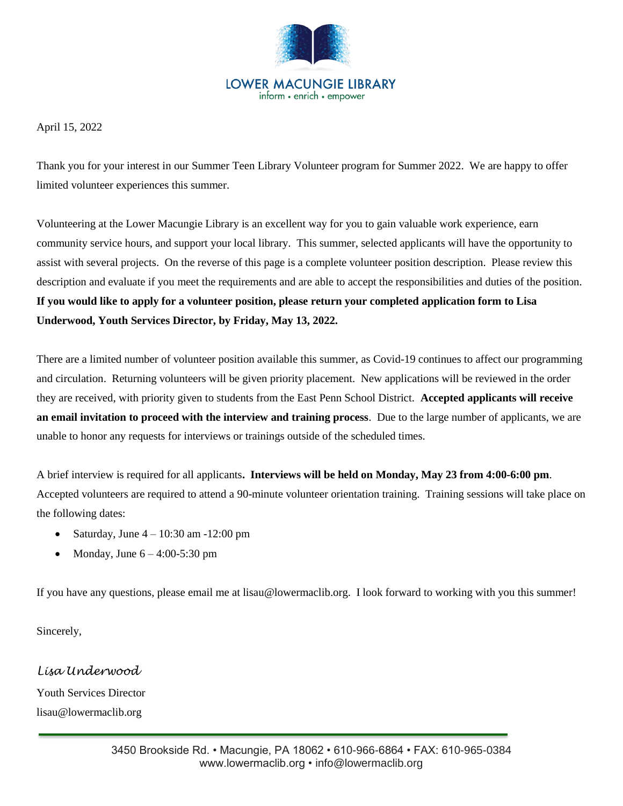

#### **LOWER MACUNGIE LIBRARY** inform • enrich • empower

April 15, 2022

Thank you for your interest in our Summer Teen Library Volunteer program for Summer 2022. We are happy to offer limited volunteer experiences this summer.

Volunteering at the Lower Macungie Library is an excellent way for you to gain valuable work experience, earn community service hours, and support your local library. This summer, selected applicants will have the opportunity to assist with several projects. On the reverse of this page is a complete volunteer position description. Please review this description and evaluate if you meet the requirements and are able to accept the responsibilities and duties of the position. **If you would like to apply for a volunteer position, please return your completed application form to Lisa Underwood, Youth Services Director, by Friday, May 13, 2022.**

There are a limited number of volunteer position available this summer, as Covid-19 continues to affect our programming and circulation. Returning volunteers will be given priority placement. New applications will be reviewed in the order they are received, with priority given to students from the East Penn School District. **Accepted applicants will receive an email invitation to proceed with the interview and training process**. Due to the large number of applicants, we are unable to honor any requests for interviews or trainings outside of the scheduled times.

A brief interview is required for all applicants**. Interviews will be held on Monday, May 23 from 4:00-6:00 pm**. Accepted volunteers are required to attend a 90-minute volunteer orientation training. Training sessions will take place on the following dates:

- Saturday, June 4 10:30 am -12:00 pm
- Monday, June 6 4:00-5:30 pm

If you have any questions, please email me at lisau@lowermaclib.org. I look forward to working with you this summer!

Sincerely,

*Lisa Underwood* Youth Services Director lisau@lowermaclib.org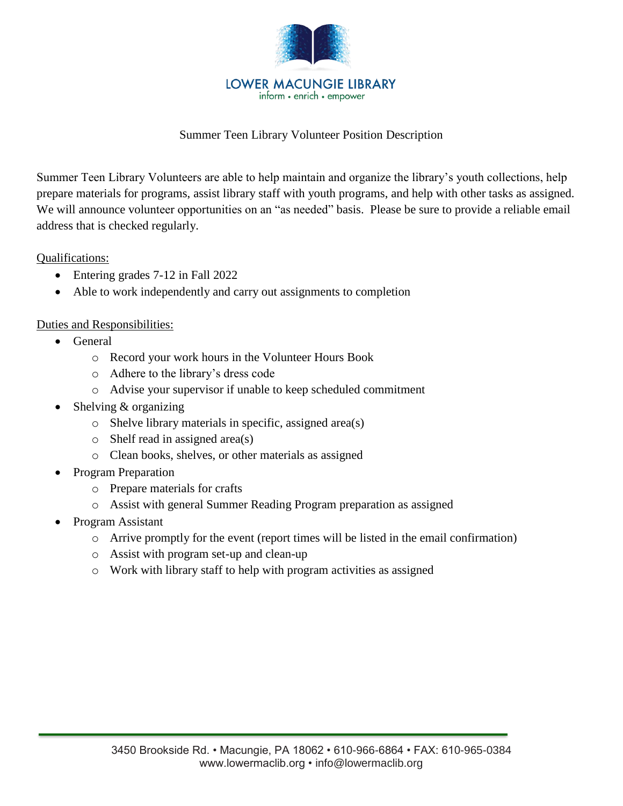

## Summer Teen Library Volunteer Position Description

Summer Teen Library Volunteers are able to help maintain and organize the library's youth collections, help prepare materials for programs, assist library staff with youth programs, and help with other tasks as assigned. We will announce volunteer opportunities on an "as needed" basis. Please be sure to provide a reliable email address that is checked regularly.

Qualifications:

- Entering grades 7-12 in Fall 2022
- Able to work independently and carry out assignments to completion

## Duties and Responsibilities:

- General
	- o Record your work hours in the Volunteer Hours Book
	- o Adhere to the library's dress code
	- o Advise your supervisor if unable to keep scheduled commitment
- Shelving & organizing
	- o Shelve library materials in specific, assigned area(s)
	- o Shelf read in assigned area(s)
	- o Clean books, shelves, or other materials as assigned
- Program Preparation
	- o Prepare materials for crafts
	- o Assist with general Summer Reading Program preparation as assigned
- Program Assistant
	- $\circ$  Arrive promptly for the event (report times will be listed in the email confirmation)
	- o Assist with program set-up and clean-up
	- o Work with library staff to help with program activities as assigned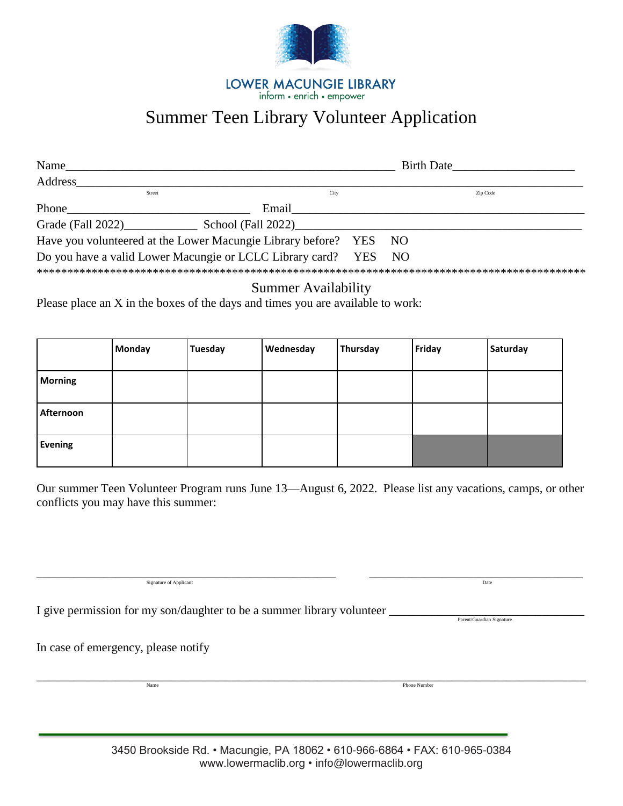

**LOWER MACUNGIE LIBRARY** inform • enrich • empower

# Summer Teen Library Volunteer Application

| Name                                                           | <b>Birth Date</b> |  |      |          |  |
|----------------------------------------------------------------|-------------------|--|------|----------|--|
| Address                                                        |                   |  |      |          |  |
| Street                                                         | City              |  |      | Zip Code |  |
| Phone                                                          | Email             |  |      |          |  |
|                                                                |                   |  |      |          |  |
| Have you volunteered at the Lower Macungie Library before? YES |                   |  | NO   |          |  |
| Do you have a valid Lower Macungie or LCLC Library card? YES   |                   |  | - NO |          |  |
|                                                                |                   |  |      |          |  |

# Summer Availability

Please place an X in the boxes of the days and times you are available to work:

|                | Monday | <b>Tuesday</b> | Wednesday | Thursday | Friday | Saturday |
|----------------|--------|----------------|-----------|----------|--------|----------|
| <b>Morning</b> |        |                |           |          |        |          |
| Afternoon      |        |                |           |          |        |          |
| <b>Evening</b> |        |                |           |          |        |          |

Our summer Teen Volunteer Program runs June 13—August 6, 2022. Please list any vacations, camps, or other conflicts you may have this summer:

\_\_\_\_\_\_\_\_\_\_\_\_\_\_\_\_\_\_\_\_\_\_\_\_\_\_\_\_\_\_\_\_\_\_\_\_\_\_\_\_\_\_\_\_\_\_\_\_\_ \_\_\_\_\_\_\_\_\_\_\_\_\_\_\_\_\_\_\_\_\_\_\_\_\_\_\_\_\_\_\_\_\_\_\_ Signature of Applicant Date

I give permission for my son/daughter to be a summer library volunteer  $\frac{1}{2}$ 

Parent/Guardian Signature

I

In case of emergency, please notify

\_\_\_\_\_\_\_\_\_\_\_\_\_\_\_\_\_\_\_\_\_\_\_\_\_\_\_\_\_\_\_\_\_\_\_\_\_\_\_\_\_\_\_\_\_\_\_\_\_\_\_\_\_\_\_\_\_\_\_\_\_\_\_\_\_\_\_\_\_\_\_\_\_\_\_\_\_\_\_\_\_\_\_\_\_\_\_\_\_\_

Name Phone Number